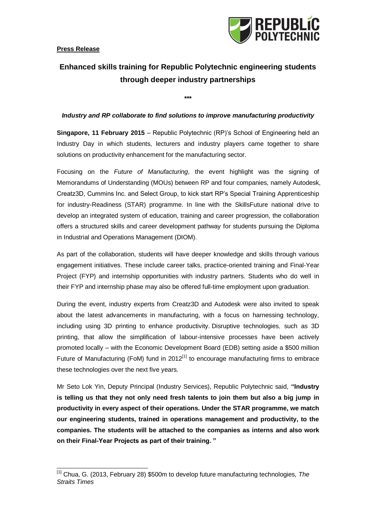

## **Enhanced skills training for Republic Polytechnic engineering students through deeper industry partnerships**

**\*\*\***

## *Industry and RP collaborate to find solutions to improve manufacturing productivity*

**Singapore, 11 February 2015** – Republic Polytechnic (RP)'s School of Engineering held an Industry Day in which students, lecturers and industry players came together to share solutions on productivity enhancement for the manufacturing sector.

Focusing on the *Future of Manufacturing*, the event highlight was the signing of Memorandums of Understanding (MOUs) between RP and four companies, namely Autodesk, Creatz3D, Cummins Inc. and Select Group, to kick start RP's Special Training Apprenticeship for industry-Readiness (STAR) programme. In line with the SkillsFuture national drive to develop an integrated system of education, training and career progression, the collaboration offers a structured skills and career development pathway for students pursuing the Diploma in Industrial and Operations Management (DIOM).

As part of the collaboration, students will have deeper knowledge and skills through various engagement initiatives. These include career talks, practice-oriented training and Final-Year Project (FYP) and internship opportunities with industry partners. Students who do well in their FYP and internship phase may also be offered full-time employment upon graduation.

During the event, industry experts from Creatz3D and Autodesk were also invited to speak about the latest advancements in manufacturing, with a focus on harnessing technology, including using 3D printing to enhance productivity. Disruptive technologies, such as 3D printing, that allow the simplification of labour-intensive processes have been actively promoted locally – with the Economic Development Board (EDB) setting aside a \$500 million Future of Manufacturing (FoM) fund in 2012 $<sup>[1]</sup>$  to encourage manufacturing firms to embrace</sup> these technologies over the next five years.

Mr Seto Lok Yin, Deputy Principal (Industry Services), Republic Polytechnic said, **"Industry is telling us that they not only need fresh talents to join them but also a big jump in productivity in every aspect of their operations. Under the STAR programme, we match our engineering students, trained in operations management and productivity, to the companies. The students will be attached to the companies as interns and also work on their Final-Year Projects as part of their training. "**

 $\overline{a}$ [1] Chua, G. (2013, February 28) \$500m to develop future manufacturing technologies, *The Straits Times*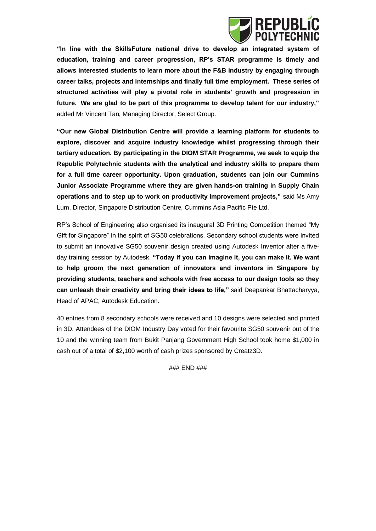

**"In line with the SkillsFuture national drive to develop an integrated system of education, training and career progression, RP's STAR programme is timely and allows interested students to learn more about the F&B industry by engaging through career talks, projects and internships and finally full time employment. These series of structured activities will play a pivotal role in students' growth and progression in future. We are glad to be part of this programme to develop talent for our industry,"** added Mr Vincent Tan, Managing Director, Select Group.

**"Our new Global Distribution Centre will provide a learning platform for students to explore, discover and acquire industry knowledge whilst progressing through their tertiary education. By participating in the DIOM STAR Programme, we seek to equip the Republic Polytechnic students with the analytical and industry skills to prepare them for a full time career opportunity. Upon graduation, students can join our Cummins Junior Associate Programme where they are given hands-on training in Supply Chain operations and to step up to work on productivity improvement projects,"** said Ms Amy Lum, Director, Singapore Distribution Centre, Cummins Asia Pacific Pte Ltd.

RP's School of Engineering also organised its inaugural 3D Printing Competition themed "My Gift for Singapore" in the spirit of SG50 celebrations. Secondary school students were invited to submit an innovative SG50 souvenir design created using Autodesk Inventor after a fiveday training session by Autodesk. **"Today if you can imagine it, you can make it. We want to help groom the next generation of innovators and inventors in Singapore by providing students, teachers and schools with free access to our design tools so they can unleash their creativity and bring their ideas to life,"** said Deepankar Bhattacharyya, Head of APAC, Autodesk Education.

40 entries from 8 secondary schools were received and 10 designs were selected and printed in 3D. Attendees of the DIOM Industry Day voted for their favourite SG50 souvenir out of the 10 and the winning team from Bukit Panjang Government High School took home \$1,000 in cash out of a total of \$2,100 worth of cash prizes sponsored by Creatz3D.

### END ###